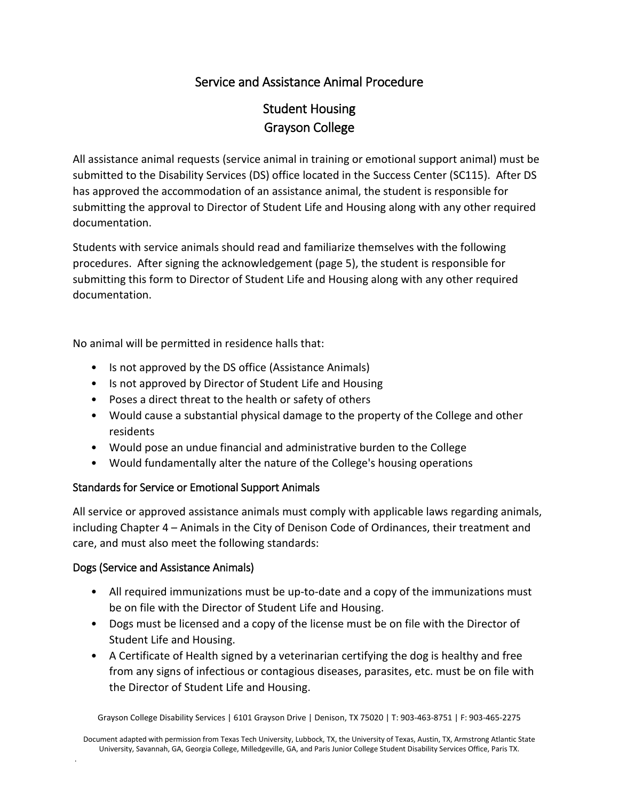## Service and Assistance Animal Procedure

# Student Housing Grayson College

All assistance animal requests (service animal in training or emotional support animal) must be submitted to the Disability Services (DS) office located in the Success Center (SC115). After DS has approved the accommodation of an assistance animal, the student is responsible for submitting the approval to Director of Student Life and Housing along with any other required documentation.

Students with service animals should read and familiarize themselves with the following procedures. After signing the acknowledgement (page 5), the student is responsible for submitting this form to Director of Student Life and Housing along with any other required documentation.

No animal will be permitted in residence halls that:

- Is not approved by the DS office (Assistance Animals)
- Is not approved by Director of Student Life and Housing
- Poses a direct threat to the health or safety of others
- Would cause a substantial physical damage to the property of the College and other residents
- Would pose an undue financial and administrative burden to the College
- Would fundamentally alter the nature of the College's housing operations

#### Standards for Service or Emotional Support Animals

All service or approved assistance animals must comply with applicable laws regarding animals, including Chapter 4 – Animals in the City of Denison Code of Ordinances, their treatment and care, and must also meet the following standards:

#### Dogs (Service and Assistance Animals)

.

- All required immunizations must be up-to-date and a copy of the immunizations must be on file with the Director of Student Life and Housing.
- Dogs must be licensed and a copy of the license must be on file with the Director of Student Life and Housing.
- A Certificate of Health signed by a veterinarian certifying the dog is healthy and free from any signs of infectious or contagious diseases, parasites, etc. must be on file with the Director of Student Life and Housing.

Grayson College Disability Services | 6101 Grayson Drive | Denison, TX 75020 | T: 903-463-8751 | F: 903-465-2275

Document adapted with permission from Texas Tech University, Lubbock, TX, the University of Texas, Austin, TX, Armstrong Atlantic State University, Savannah, GA, Georgia College, Milledgeville, GA, and Paris Junior College Student Disability Services Office, Paris TX.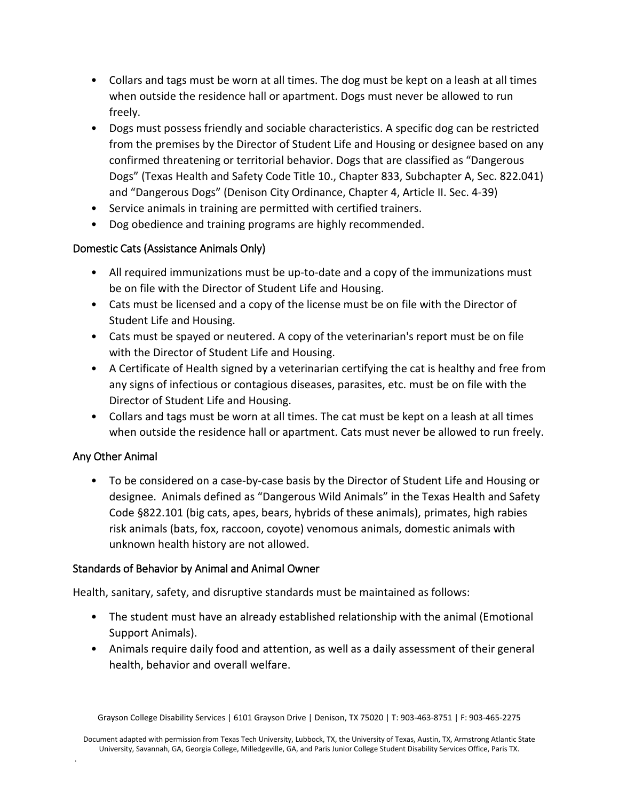- Collars and tags must be worn at all times. The dog must be kept on a leash at all times when outside the residence hall or apartment. Dogs must never be allowed to run freely.
- Dogs must possess friendly and sociable characteristics. A specific dog can be restricted from the premises by the Director of Student Life and Housing or designee based on any confirmed threatening or territorial behavior. Dogs that are classified as "Dangerous Dogs" (Texas Health and Safety Code Title 10., Chapter 833, Subchapter A, Sec. 822.041) and "Dangerous Dogs" (Denison City Ordinance, Chapter 4, Article II. Sec. 4-39)
- Service animals in training are permitted with certified trainers.
- Dog obedience and training programs are highly recommended.

#### Domestic Cats (Assistance Animals Only)

- All required immunizations must be up-to-date and a copy of the immunizations must be on file with the Director of Student Life and Housing.
- Cats must be licensed and a copy of the license must be on file with the Director of Student Life and Housing.
- Cats must be spayed or neutered. A copy of the veterinarian's report must be on file with the Director of Student Life and Housing.
- A Certificate of Health signed by a veterinarian certifying the cat is healthy and free from any signs of infectious or contagious diseases, parasites, etc. must be on file with the Director of Student Life and Housing.
- Collars and tags must be worn at all times. The cat must be kept on a leash at all times when outside the residence hall or apartment. Cats must never be allowed to run freely.

#### Any Other Animal

.

• To be considered on a case-by-case basis by the Director of Student Life and Housing or designee. Animals defined as "Dangerous Wild Animals" in the Texas Health and Safety Code §822.101 (big cats, apes, bears, hybrids of these animals), primates, high rabies risk animals (bats, fox, raccoon, coyote) venomous animals, domestic animals with unknown health history are not allowed.

#### Standards of Behavior by Animal and Animal Owner

Health, sanitary, safety, and disruptive standards must be maintained as follows:

- The student must have an already established relationship with the animal (Emotional Support Animals).
- Animals require daily food and attention, as well as a daily assessment of their general health, behavior and overall welfare.

Grayson College Disability Services | 6101 Grayson Drive | Denison, TX 75020 | T: 903-463-8751 | F: 903-465-2275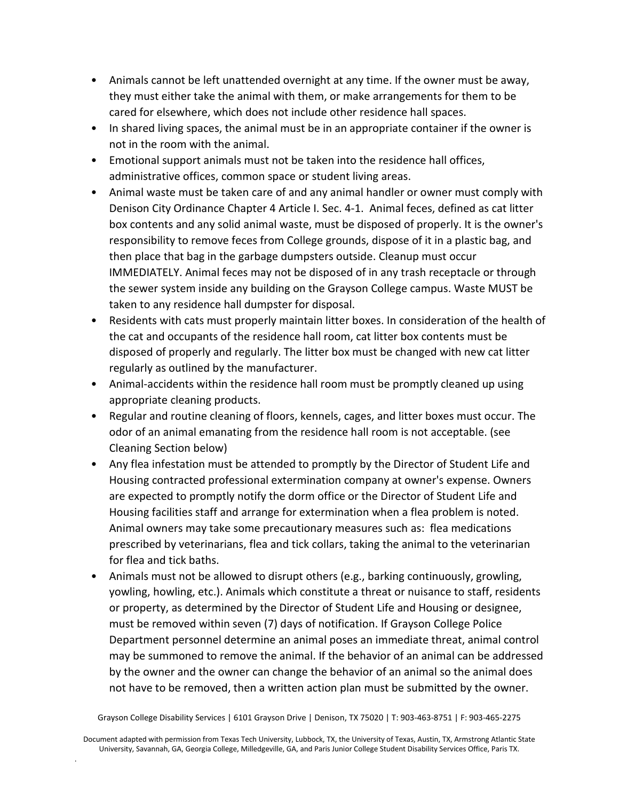- Animals cannot be left unattended overnight at any time. If the owner must be away, they must either take the animal with them, or make arrangements for them to be cared for elsewhere, which does not include other residence hall spaces.
- In shared living spaces, the animal must be in an appropriate container if the owner is not in the room with the animal.
- Emotional support animals must not be taken into the residence hall offices, administrative offices, common space or student living areas.
- Animal waste must be taken care of and any animal handler or owner must comply with Denison City Ordinance Chapter 4 Article I. Sec. 4-1. Animal feces, defined as cat litter box contents and any solid animal waste, must be disposed of properly. It is the owner's responsibility to remove feces from College grounds, dispose of it in a plastic bag, and then place that bag in the garbage dumpsters outside. Cleanup must occur IMMEDIATELY. Animal feces may not be disposed of in any trash receptacle or through the sewer system inside any building on the Grayson College campus. Waste MUST be taken to any residence hall dumpster for disposal.
- Residents with cats must properly maintain litter boxes. In consideration of the health of the cat and occupants of the residence hall room, cat litter box contents must be disposed of properly and regularly. The litter box must be changed with new cat litter regularly as outlined by the manufacturer.
- Animal-accidents within the residence hall room must be promptly cleaned up using appropriate cleaning products.
- Regular and routine cleaning of floors, kennels, cages, and litter boxes must occur. The odor of an animal emanating from the residence hall room is not acceptable. (see Cleaning Section below)
- Any flea infestation must be attended to promptly by the Director of Student Life and Housing contracted professional extermination company at owner's expense. Owners are expected to promptly notify the dorm office or the Director of Student Life and Housing facilities staff and arrange for extermination when a flea problem is noted. Animal owners may take some precautionary measures such as: flea medications prescribed by veterinarians, flea and tick collars, taking the animal to the veterinarian for flea and tick baths.
- Animals must not be allowed to disrupt others (e.g., barking continuously, growling, yowling, howling, etc.). Animals which constitute a threat or nuisance to staff, residents or property, as determined by the Director of Student Life and Housing or designee, must be removed within seven (7) days of notification. If Grayson College Police Department personnel determine an animal poses an immediate threat, animal control may be summoned to remove the animal. If the behavior of an animal can be addressed by the owner and the owner can change the behavior of an animal so the animal does not have to be removed, then a written action plan must be submitted by the owner.

Grayson College Disability Services | 6101 Grayson Drive | Denison, TX 75020 | T: 903-463-8751 | F: 903-465-2275

Document adapted with permission from Texas Tech University, Lubbock, TX, the University of Texas, Austin, TX, Armstrong Atlantic State University, Savannah, GA, Georgia College, Milledgeville, GA, and Paris Junior College Student Disability Services Office, Paris TX.

.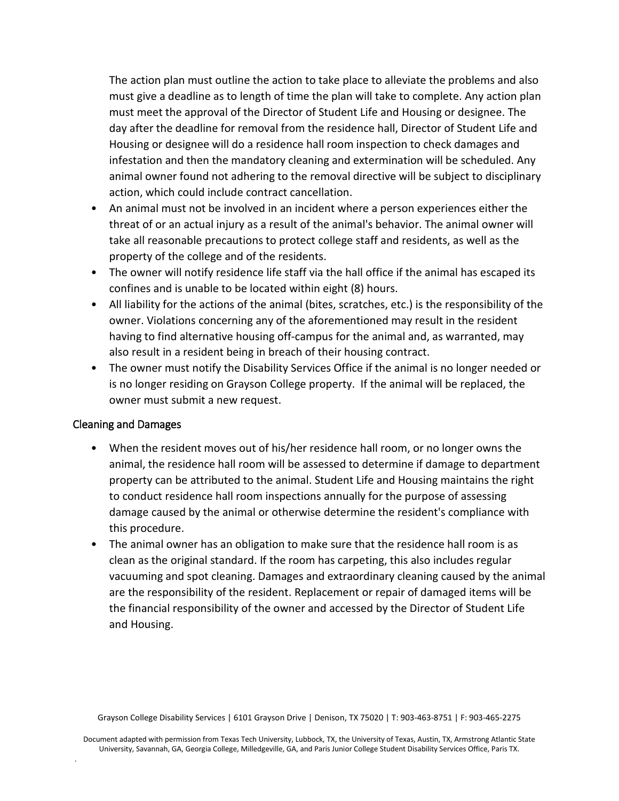The action plan must outline the action to take place to alleviate the problems and also must give a deadline as to length of time the plan will take to complete. Any action plan must meet the approval of the Director of Student Life and Housing or designee. The day after the deadline for removal from the residence hall, Director of Student Life and Housing or designee will do a residence hall room inspection to check damages and infestation and then the mandatory cleaning and extermination will be scheduled. Any animal owner found not adhering to the removal directive will be subject to disciplinary action, which could include contract cancellation.

- An animal must not be involved in an incident where a person experiences either the threat of or an actual injury as a result of the animal's behavior. The animal owner will take all reasonable precautions to protect college staff and residents, as well as the property of the college and of the residents.
- The owner will notify residence life staff via the hall office if the animal has escaped its confines and is unable to be located within eight (8) hours.
- All liability for the actions of the animal (bites, scratches, etc.) is the responsibility of the owner. Violations concerning any of the aforementioned may result in the resident having to find alternative housing off-campus for the animal and, as warranted, may also result in a resident being in breach of their housing contract.
- The owner must notify the Disability Services Office if the animal is no longer needed or is no longer residing on Grayson College property. If the animal will be replaced, the owner must submit a new request.

#### Cleaning and Damages

.

- When the resident moves out of his/her residence hall room, or no longer owns the animal, the residence hall room will be assessed to determine if damage to department property can be attributed to the animal. Student Life and Housing maintains the right to conduct residence hall room inspections annually for the purpose of assessing damage caused by the animal or otherwise determine the resident's compliance with this procedure.
- The animal owner has an obligation to make sure that the residence hall room is as clean as the original standard. If the room has carpeting, this also includes regular vacuuming and spot cleaning. Damages and extraordinary cleaning caused by the animal are the responsibility of the resident. Replacement or repair of damaged items will be the financial responsibility of the owner and accessed by the Director of Student Life and Housing.

Grayson College Disability Services | 6101 Grayson Drive | Denison, TX 75020 | T: 903-463-8751 | F: 903-465-2275